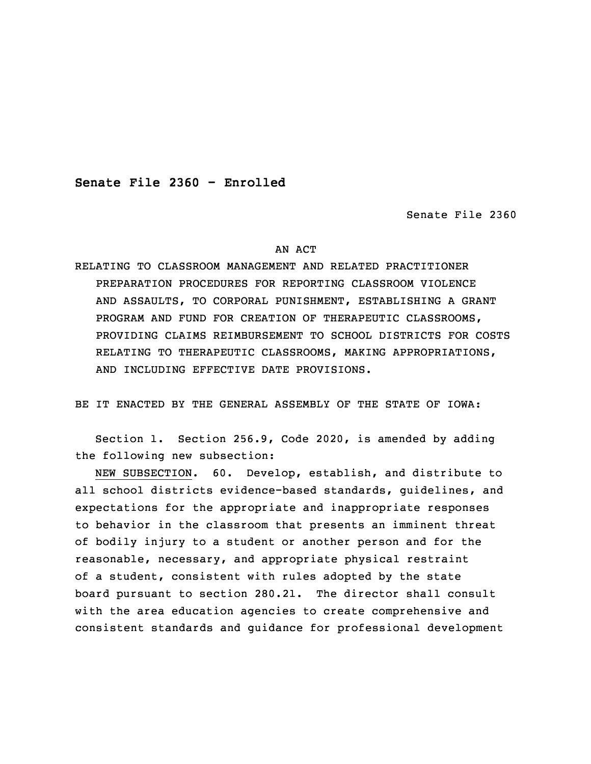**Senate File 2360 - Enrolled**

Senate File 2360

## AN ACT

RELATING TO CLASSROOM MANAGEMENT AND RELATED PRACTITIONER PREPARATION PROCEDURES FOR REPORTING CLASSROOM VIOLENCE AND ASSAULTS, TO CORPORAL PUNISHMENT, ESTABLISHING A GRANT PROGRAM AND FUND FOR CREATION OF THERAPEUTIC CLASSROOMS, PROVIDING CLAIMS REIMBURSEMENT TO SCHOOL DISTRICTS FOR COSTS RELATING TO THERAPEUTIC CLASSROOMS, MAKING APPROPRIATIONS, AND INCLUDING EFFECTIVE DATE PROVISIONS.

BE IT ENACTED BY THE GENERAL ASSEMBLY OF THE STATE OF IOWA:

 Section 1. Section 256.9, Code 2020, is amended by adding the following new subsection:

NEW SUBSECTION. 60. Develop, establish, and distribute to all school districts evidence-based standards, guidelines, and expectations for the appropriate and inappropriate responses to behavior in the classroom that presents an imminent threat of bodily injury to a student or another person and for the reasonable, necessary, and appropriate physical restraint of a student, consistent with rules adopted by the state board pursuant to section 280.21. The director shall consult with the area education agencies to create comprehensive and consistent standards and guidance for professional development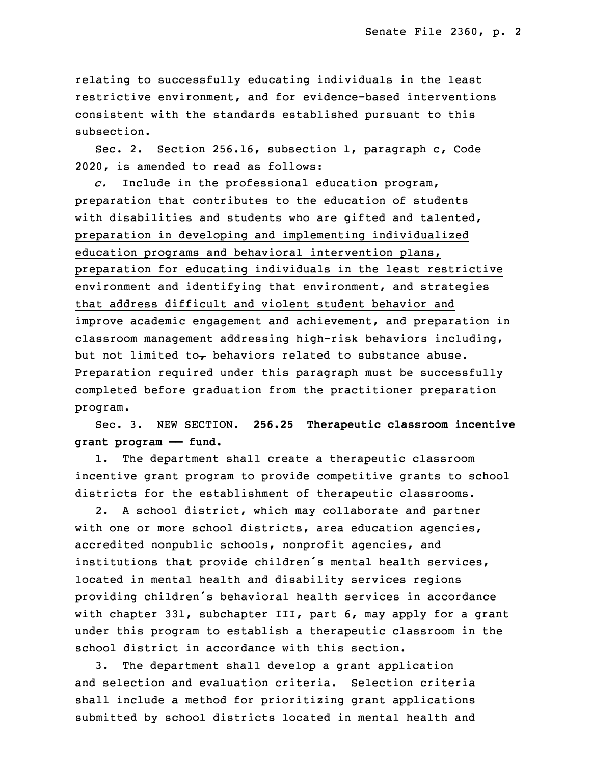relating to successfully educating individuals in the least restrictive environment, and for evidence-based interventions consistent with the standards established pursuant to this subsection.

Sec. 2. Section 256.16, subsection 1, paragraph c, Code 2020, is amended to read as follows:

c. Include in the professional education program, preparation that contributes to the education of students with disabilities and students who are gifted and talented, preparation in developing and implementing individualized education programs and behavioral intervention plans, preparation for educating individuals in the least restrictive environment and identifying that environment, and strategies that address difficult and violent student behavior and improve academic engagement and achievement, and preparation in classroom management addressing high-risk behaviors including $<sub>\tau</sub>$ </sub> but not limited to $_{\mathcal{T}}$  behaviors related to substance abuse. Preparation required under this paragraph must be successfully completed before graduation from the practitioner preparation program.

33 Sec. 3. NEW SECTION. **256.25 Therapeutic classroom incentive** 34 **grant program —— fund.**

1. The department shall create a therapeutic classroom incentive grant program to provide competitive grants to school districts for the establishment of therapeutic classrooms.

2. A school district, which may collaborate and partner with one or more school districts, area education agencies, accredited nonpublic schools, nonprofit agencies, and institutions that provide children's mental health services, located in mental health and disability services regions providing children's behavioral health services in accordance with chapter 331, subchapter III, part 6, may apply for a grant under this program to establish a therapeutic classroom in the school district in accordance with this section.

 3. The department shall develop <sup>a</sup> grant application and selection and evaluation criteria. Selection criteria shall include <sup>a</sup> method for prioritizing grant applications submitted by school districts located in mental health and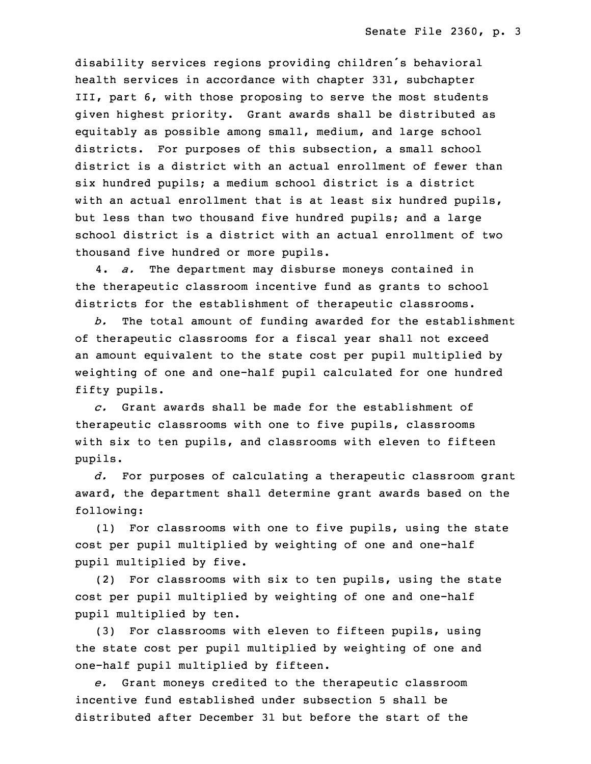disability services regions providing children's behavioral health services in accordance with chapter 331, subchapter III, part 6, with those proposing to serve the most students given highest priority. Grant awards shall be distributed as equitably as possible among small, medium, and large school districts. For purposes of this subsection, <sup>a</sup> small school district is <sup>a</sup> district with an actual enrollment of fewer than six hundred pupils; a medium school district is a district with an actual enrollment that is at least six hundred pupils, but less than two thousand five hundred pupils; and a large school district is a district with an actual enrollment of two thousand five hundred or more pupils.

28 4. *a.* The department may disburse moneys contained in the therapeutic classroom incentive fund as grants to school districts for the establishment of therapeutic classrooms.

b. The total amount of funding awarded for the establishment of therapeutic classrooms for a fiscal year shall not exceed an amount equivalent to the state cost per pupil multiplied by weighting of one and one-half pupil calculated for one hundred fifty pupils.

 *c.* Grant awards shall be made for the establishment of therapeutic classrooms with one to five pupils, classrooms with six to ten pupils, and classrooms with eleven to fifteen pupils.

5 *d.* For purposes of calculating <sup>a</sup> therapeutic classroom grant award, the department shall determine grant awards based on the following:

(1) For classrooms with one to five pupils, using the state cost per pupil multiplied by weighting of one and one-half pupil multiplied by five.

 (2) For classrooms with six to ten pupils, using the state cost per pupil multiplied by weighting of one and one-half pupil multiplied by ten.

 (3) For classrooms with eleven to fifteen pupils, using the state cost per pupil multiplied by weighting of one and one-half pupil multiplied by fifteen.

17 *e.* Grant moneys credited to the therapeutic classroom incentive fund established under subsection 5 shall be distributed after December 31 but before the start of the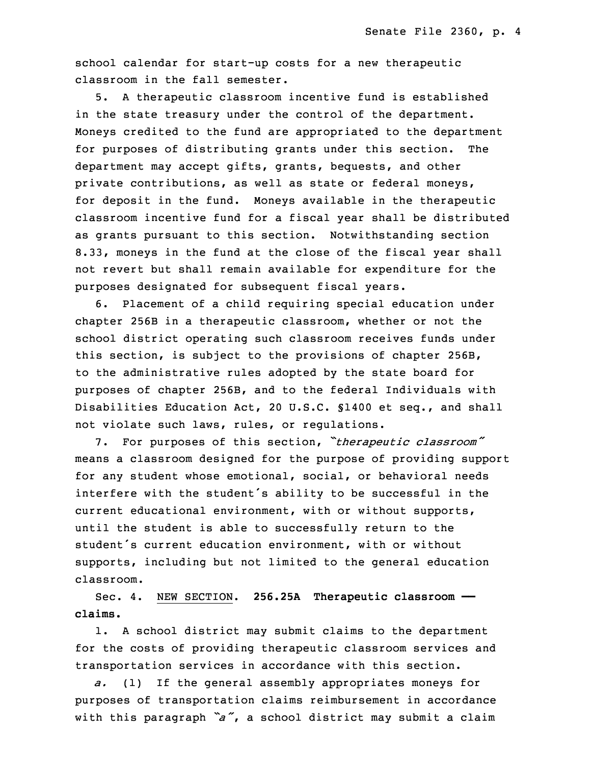school calendar for start-up costs for a new therapeutic classroom in the fall semester.

 5. <sup>A</sup> therapeutic classroom incentive fund is established in the state treasury under the control of the department. Moneys credited to the fund are appropriated to the department for purposes of distributing grants under this section. The department may accept gifts, grants, bequests, and other private contributions, as well as state or federal moneys, for deposit in the fund. Moneys available in the therapeutic classroom incentive fund for a fiscal year shall be distributed as grants pursuant to this section. Notwithstanding section 8.33, moneys in the fund at the close of the fiscal year shall not revert but shall remain available for expenditure for the purposes designated for subsequent fiscal years.

6. Placement of a child requiring special education under chapter 256B in a therapeutic classroom, whether or not the school district operating such classroom receives funds under this section, is subject to the provisions of chapter 256B, to the administrative rules adopted by the state board for purposes of chapter 256B, and to the federal Individuals with Disabilities Education Act, 20 U.S.C. §1400 et seq., and shall not violate such laws, rules, or regulations.

<sup>7</sup> 7. For purposes of this section, *"therapeutic classroom"* means a classroom designed for the purpose of providing support for any student whose emotional, social, or behavioral needs interfere with the student's ability to be successful in the current educational environment, with or without supports, until the student is able to successfully return to the student's current education environment, with or without supports, including but not limited to the general education classroom.

16 Sec. 4. NEW SECTION. **256.25A Therapeutic classroom —** claims.

1. A school district may submit claims to the department for the costs of providing therapeutic classroom services and transportation services in accordance with this section.

 *a.* (1) If the general assembly appropriates moneys for purposes of transportation claims reimbursement in accordance <sup>23</sup> with this paragraph *"a"*, <sup>a</sup> school district may submit <sup>a</sup> claim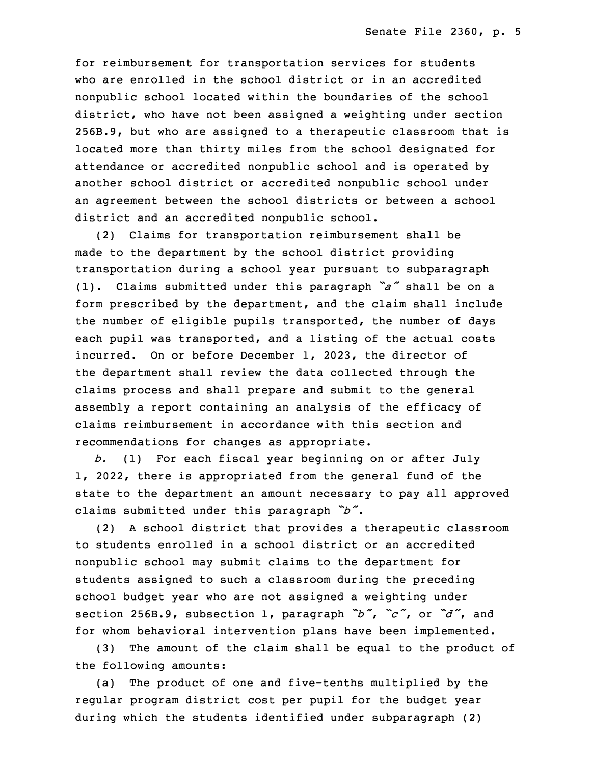for reimbursement for transportation services for students who are enrolled in the school district or in an accredited 26 nonpublic school located within the boundaries of the school district, who have not been assigned a weighting under section 256B.9, but who are assigned to a therapeutic classroom that is located more than thirty miles from the school designated for attendance or accredited nonpublic school and is operated by another school district or accredited nonpublic school under an agreement between the school districts or between a school district and an accredited nonpublic school.

(2) Claims for transportation reimbursement shall be made to the department by the school district providing transportation during <sup>a</sup> school year pursuant to subparagraph (1). Claims submitted under this paragraph *"a"* shall be on <sup>a</sup> form prescribed by the department, and the claim shall include the number of eligible pupils transported, the number of days each pupil was transported, and a listing of the actual costs incurred. On or before December 1, 2023, the director of the department shall review the data collected through the claims process and shall prepare and submit to the general assembly a report containing an analysis of the efficacy of claims reimbursement in accordance with this section and recommendations for changes as appropriate.

 *b.* (1) For each fiscal year beginning on or after July 1, 2022, there is appropriated from the general fund of the state to the department an amount necessary to pay all approved <sup>15</sup> claims submitted under this paragraph *"b"*.

16 (2) <sup>A</sup> school district that provides <sup>a</sup> therapeutic classroom 17 to students enrolled in <sup>a</sup> school district or an accredited nonpublic school may submit claims to the department for students assigned to such a classroom during the preceding school budget year who are not assigned a weighting under section 256B.9, subsection 1, paragraph *"b"*, *"c"*, or *"d"*, and for whom behavioral intervention plans have been implemented.

(3) The amount of the claim shall be equal to the product of the following amounts:

(a) The product of one and five-tenths multiplied by the regular program district cost per pupil for the budget year during which the students identified under subparagraph (2)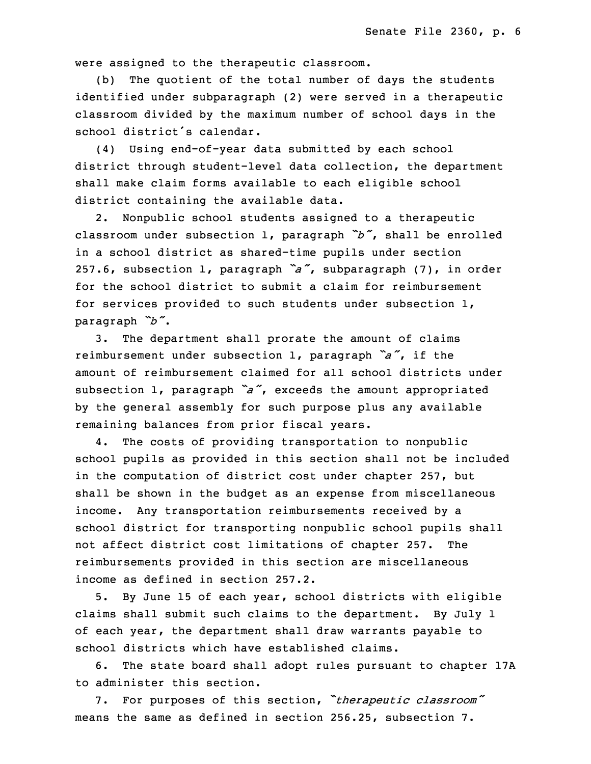were assigned to the therapeutic classroom.

(b) The quotient of the total number of days the students identified under subparagraph (2) were served in a therapeutic classroom divided by the maximum number of school days in the school district's calendar.

(4) Using end-of-year data submitted by each school district through student-level data collection, the department shall make claim forms available to each eligible school district containing the available data.

 2. Nonpublic school students assigned to <sup>a</sup> therapeutic <sup>3</sup> classroom under subsection 1, paragraph *"b"*, shall be enrolled in <sup>a</sup> school district as shared-time pupils under section <sup>5</sup> 257.6, subsection 1, paragraph *"a"*, subparagraph (7), in order for the school district to submit a claim for reimbursement for services provided to such students under subsection 1, <sup>8</sup> paragraph *"b"*.

3. The department shall prorate the amount of claims reimbursement under subsection 1, paragraph "a", if the amount of reimbursement claimed for all school districts under subsection 1, paragraph *"a"*, exceeds the amount appropriated by the general assembly for such purpose plus any available remaining balances from prior fiscal years.

4. The costs of providing transportation to nonpublic school pupils as provided in this section shall not be included in the computation of district cost under chapter 257, but shall be shown in the budget as an expense from miscellaneous income. Any transportation reimbursements received by a school district for transporting nonpublic school pupils shall not affect district cost limitations of chapter 257. The reimbursements provided in this section are miscellaneous income as defined in section 257.2.

 5. By June 15 of each year, school districts with eligible claims shall submit such claims to the department. By July 1 of each year, the department shall draw warrants payable to school districts which have established claims.

6. The state board shall adopt rules pursuant to chapter 17A to administer this section.

<sup>30</sup> 7. For purposes of this section, *"therapeutic classroom"* means the same as defined in section 256.25, subsection  $7$ .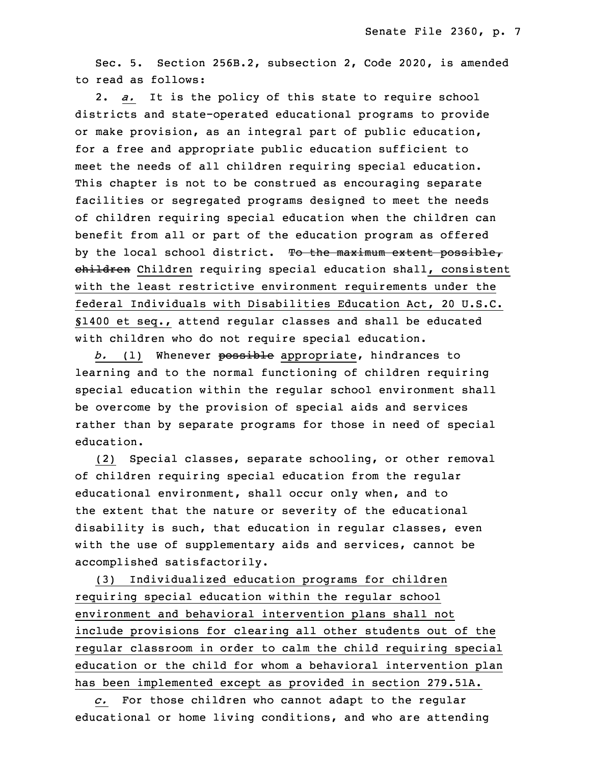Sec. 5. Section 256B.2, subsection 2, Code 2020, is amended to read as follows:

34 2. *a.* It is the policy of this state to require school districts and state-operated educational programs to provide or make provision, as an integral part of public education, for <sup>a</sup> free and appropriate public education sufficient to meet the needs of all children requiring special education. This chapter is not to be construed as encouraging separate 5 facilities or segregated programs designed to meet the needs of children requiring special education when the children can benefit from all or part of the education program as offered by the local school district. To the maximum extent possible, ehildren Children requiring special education shall, consistent with the least restrictive environment requirements under the federal Individuals with Disabilities Education Act, 20 U.S.C. §1400 et seq., attend regular classes and shall be educated with children who do not require special education.

 *b.* (1) Whenever possible appropriate, hindrances to learning and to the normal functioning of children requiring special education within the regular school environment shall be overcome by the provision of special aids and services rather than by separate programs for those in need of special education.

(2) Special classes, separate schooling, or other removal of children requiring special education from the regular educational environment, shall occur only when, and to the extent that the nature or severity of the educational disability is such, that education in regular classes, even with the use of supplementary aids and services, cannot be accomplished satisfactorily.

(3) Individualized education programs for children requiring special education within the regular school environment and behavioral intervention plans shall not include provisions for clearing all other students out of the regular classroom in order to calm the child requiring special education or the child for whom a behavioral intervention plan has been implemented except as provided in section 279.51A.

34 *c.* For those children who cannot adapt to the regular educational or home living conditions, and who are attending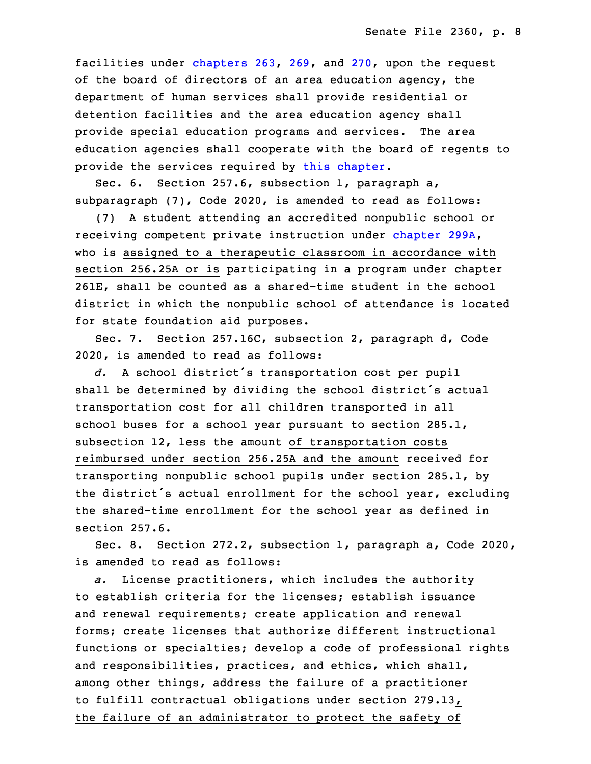facilities under [chapters](https://www.legis.iowa.gov/docs/code/2020/263.pdf) 263, [269](https://www.legis.iowa.gov/docs/code/2020/269.pdf), and [270](https://www.legis.iowa.gov/docs/code/2020/270.pdf), upon the request of the board of directors of an area education agency, the department of human services shall provide residential or detention facilities and the area education agency shall provide special education programs and services. The area education agencies shall cooperate with the board of regents to provide the services required by this [chapter](https://www.legis.iowa.gov/docs/code/2020/256B.pdf).

Sec. 6. Section 257.6, subsection 1, paragraph a,  $subparagn (7)$ , Code 2020, is amended to read as follows:

10 (7) <sup>A</sup> student attending an accredited nonpublic school or receiving competent private instruction under [chapter](https://www.legis.iowa.gov/docs/code/2020/299A.pdf) 299A, who is assigned to <sup>a</sup> therapeutic classroom in accordance with section 256.25A or is participating in a program under chapter 261E, shall be counted as <sup>a</sup> shared-time student in the school district in which the nonpublic school of attendance is located for state foundation aid purposes.

Sec. 7. Section 257.16C, subsection 2, paragraph d, Code 2020, is amended to read as follows:

d. A school district's transportation cost per pupil shall be determined by dividing the school district's actual transportation cost for all children transported in all school buses for <sup>a</sup> school year pursuant to section 285.1, subsection 12, less the amount of transportation costs reimbursed under section 256.25A and the amount received for 25 transporting nonpublic school pupils under section 285.1, by the district's actual enrollment for the school year, excluding the shared-time enrollment for the school year as defined in  $setion 257.6.$ 

Sec. 8. Section 272.2, subsection 1, paragraph a, Code 2020, is amended to read as follows:

31 *a.* License practitioners, which includes the authority to establish criteria for the licenses; establish issuance and renewal requirements; create application and renewal forms; create licenses that authorize different instructional functions or specialties; develop a code of professional rights and responsibilities, practices, and ethics, which shall, among other things, address the failure of <sup>a</sup> practitioner to fulfill contractual obligations under section 279.13, the failure of an administrator to protect the safety of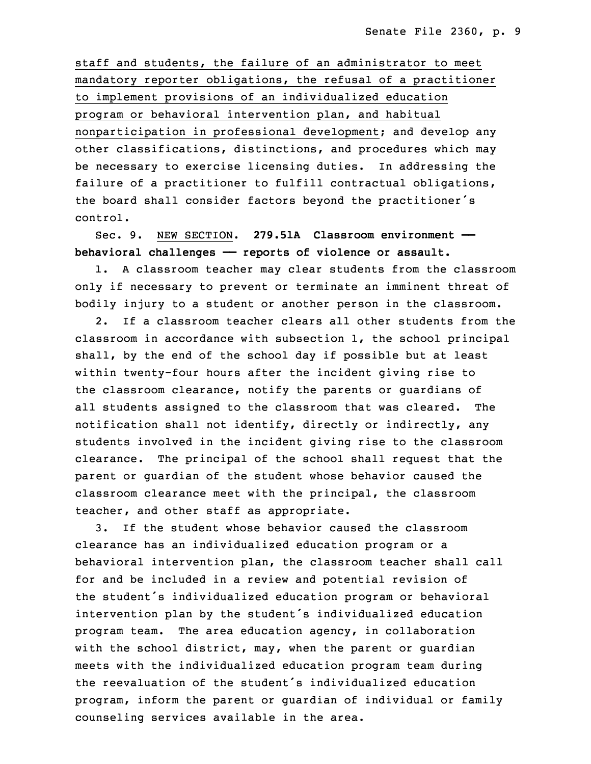staff and students, the failure of an administrator to meet mandatory reporter obligations, the refusal of a practitioner 7 to implement provisions of an individualized education program or behavioral intervention plan, and habitual nonparticipation in professional development; and develop any other classifications, distinctions, and procedures which may be necessary to exercise licensing duties. In addressing the failure of <sup>a</sup> practitioner to fulfill contractual obligations, the board shall consider factors beyond the practitioner's control.

15 Sec. 9. NEW SECTION. **279.51A Classroom environment ——** 16 **behavioral challenges —— reports of violence or assault.**

1. A classroom teacher may clear students from the classroom only if necessary to prevent or terminate an imminent threat of bodily injury to a student or another person in the classroom.

2. If a classroom teacher clears all other students from the classroom in accordance with subsection 1, the school principal shall, by the end of the school day if possible but at least within twenty-four hours after the incident giving rise to the classroom clearance, notify the parents or guardians of all students assigned to the classroom that was cleared. The notification shall not identify, directly or indirectly, any students involved in the incident giving rise to the classroom clearance. The principal of the school shall request that the parent or guardian of the student whose behavior caused the classroom clearance meet with the principal, the classroom teacher, and other staff as appropriate.

32 3. If the student whose behavior caused the classroom clearance has an individualized education program or a behavioral intervention plan, the classroom teacher shall call for and be included in a review and potential revision of the student's individualized education program or behavioral intervention plan by the student's individualized education program team. The area education agency, in collaboration with the school district, may, when the parent or guardian meets with the individualized education program team during the reevaluation of the student's individualized education program, inform the parent or quardian of individual or family counseling services available in the area.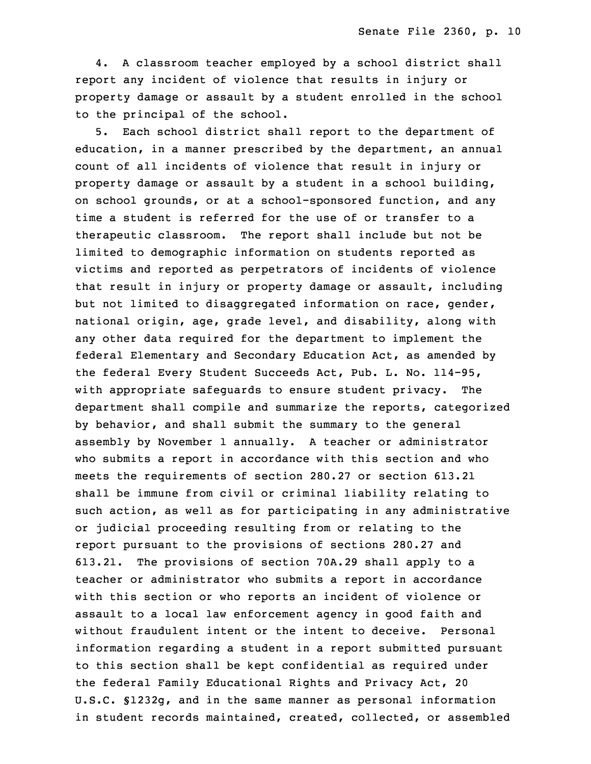4. A classroom teacher employed by a school district shall report any incident of violence that results in injury or property damage or assault by <sup>a</sup> student enrolled in the school to the principal of the school.

5. Each school district shall report to the department of education, in <sup>a</sup> manner prescribed by the department, an annual count of all incidents of violence that result in injury or property damage or assault by a student in a school building, on school grounds, or at a school-sponsored function, and any time a student is referred for the use of or transfer to a therapeutic classroom. The report shall include but not be limited to demographic information on students reported as victims and reported as perpetrators of incidents of violence that result in injury or property damage or assault, including but not limited to disaggregated information on race, gender, national origin, age, grade level, and disability, along with any other data required for the department to implement the federal Elementary and Secondary Education Act, as amended by the federal Every Student Succeeds Act, Pub. L. No. 114-95, with appropriate safeguards to ensure student privacy. The department shall compile and summarize the reports, categorized by behavior, and shall submit the summary to the general assembly by November 1 annually. A teacher or administrator who submits a report in accordance with this section and who meets the requirements of section 280.27 or section 613.21 shall be immune from civil or criminal liability relating to such action, as well as for participating in any administrative or judicial proceeding resulting from or relating to the report pursuant to the provisions of sections 280.27 and 3 613.21. The provisions of section 70A.29 shall apply to <sup>a</sup> teacher or administrator who submits <sup>a</sup> report in accordance with this section or who reports an incident of violence or assault to a local law enforcement agency in good faith and without fraudulent intent or the intent to deceive. Personal information regarding a student in a report submitted pursuant 9 to this section shall be kept confidential as required under the federal Family Educational Rights and Privacy Act, 20 U.S.C. §1232g, and in the same manner as personal information in student records maintained, created, collected, or assembled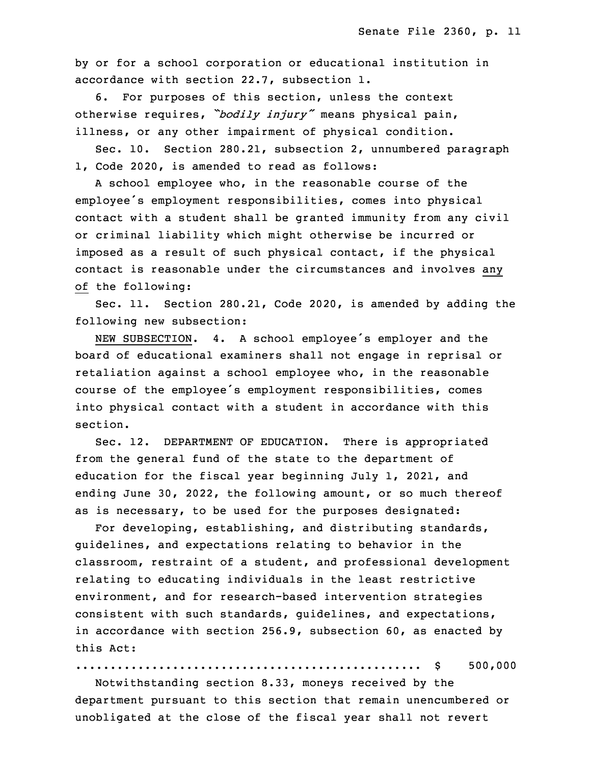by or for a school corporation or educational institution in accordance with section 22.7, subsection 1.

6. For purposes of this section, unless the context <sup>16</sup> otherwise requires, *"bodily injury"* means physical pain, illness, or any other impairment of physical condition.

Sec. 10. Section 280.21, subsection 2, unnumbered paragraph 1, Code 2020, is amended to read as follows:

A school employee who, in the reasonable course of the employee's employment responsibilities, comes into physical contact with <sup>a</sup> student shall be granted immunity from any civil or criminal liability which might otherwise be incurred or imposed as <sup>a</sup> result of such physical contact, if the physical contact is reasonable under the circumstances and involves any of the following:

Sec. 11. Section 280.21, Code 2020, is amended by adding the following new subsection:

NEW SUBSECTION. 4. A school employee's employer and the board of educational examiners shall not engage in reprisal or retaliation against a school employee who, in the reasonable course of the employee's employment responsibilities, comes into physical contact with a student in accordance with this section.

Sec. 12. DEPARTMENT OF EDUCATION. There is appropriated from the general fund of the state to the department of education for the fiscal year beginning July 1, 2021, and ending June 30, 2022, the following amount, or so much thereof as is necessary, to be used for the purposes designated:

For developing, establishing, and distributing standards, guidelines, and expectations relating to behavior in the classroom, restraint of a student, and professional development relating to educating individuals in the least restrictive environment, and for research-based intervention strategies consistent with such standards, quidelines, and expectations, in accordance with section 256.9, subsection 60, as enacted by this Act:

13 .................................................. \$ 500,000

 Notwithstanding section 8.33, moneys received by the department pursuant to this section that remain unencumbered or unobligated at the close of the fiscal year shall not revert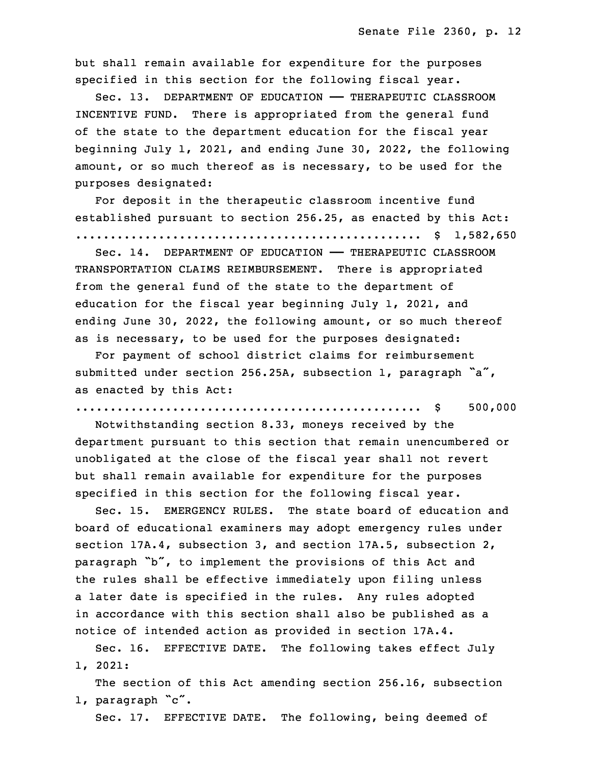but shall remain available for expenditure for the purposes specified in this section for the following fiscal year.

19 Sec. 13. DEPARTMENT OF EDUCATION —— THERAPEUTIC CLASSROOM INCENTIVE FUND. There is appropriated from the general fund of the state to the department education for the fiscal year beginning July 1, 2021, and ending June 30, 2022, the following amount, or so much thereof as is necessary, to be used for the purposes designated:

For deposit in the therapeutic classroom incentive fund established pursuant to section 256.25, as enacted by this Act: 27 .................................................. \$ 1,582,650

28 Sec. 14. DEPARTMENT OF EDUCATION —— THERAPEUTIC CLASSROOM TRANSPORTATION CLAIMS REIMBURSEMENT. There is appropriated from the general fund of the state to the department of education for the fiscal year beginning July 1, 2021, and ending June 30, 2022, the following amount, or so much thereof as is necessary, to be used for the purposes designated:

For payment of school district claims for reimbursement submitted under section 256.25A, subsection 1, paragraph "a", as enacted by this Act:

## .................................................. \$ 500,000

Notwithstanding section 8.33, moneys received by the department pursuant to this section that remain unencumbered or unobligated at the close of the fiscal year shall not revert but shall remain available for expenditure for the purposes specified in this section for the following fiscal year.

Sec. 15. EMERGENCY RULES. The state board of education and 9 board of educational examiners may adopt emergency rules under section 17A.4, subsection 3, and section 17A.5, subsection  $2$ , paragraph "b", to implement the provisions of this Act and the rules shall be effective immediately upon filing unless a later date is specified in the rules. Any rules adopted in accordance with this section shall also be published as <sup>a</sup> notice of intended action as provided in section 17A.4.

Sec. 16. EFFECTIVE DATE. The following takes effect July 17 1, 2021:

The section of this Act amending section 256.16, subsection 1, paragraph "c".

Sec. 17. EFFECTIVE DATE. The following, being deemed of